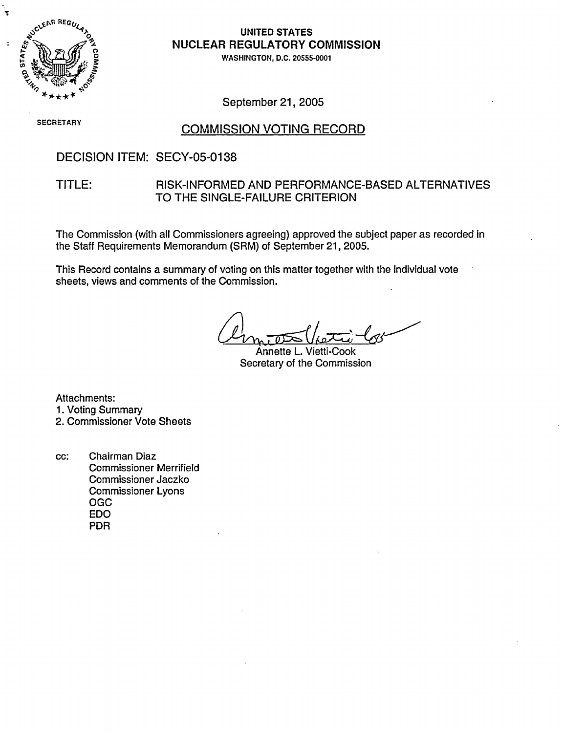

÷

## UNITED STATES **NUCLEAR REGULATORY COMMISSION**

WASHINGTON, D.C. 20555-0001

September 21, 2005

**SECRETARY** 

## COMMISSION VOTING RECORD

## DECISION ITEM: SECY-05-0138

### TITLE: RISK-INFORMED AND PERFORMANCE-BASED ALTERNATIVES TO THE SINGLE-FAILURE CRITERION

The Commission (with all Commissioners agreeing) approved the subject paper as recorded in the Staff Requirements Memorandum (SRM) of September 21, 2005.

This Record contains a summary of voting on this matter together with the individual vote sheets, views and comments of the Commission.

Annette L. Vietti-Cook Secretary of the Commission

Attachments: 1. Voting Summary 2. Commissioner Vote Sheets

cc: Chairman Diaz Commissioner Merrifield Commissioner Jaczko Commissioner Lyons OGC EDO PDR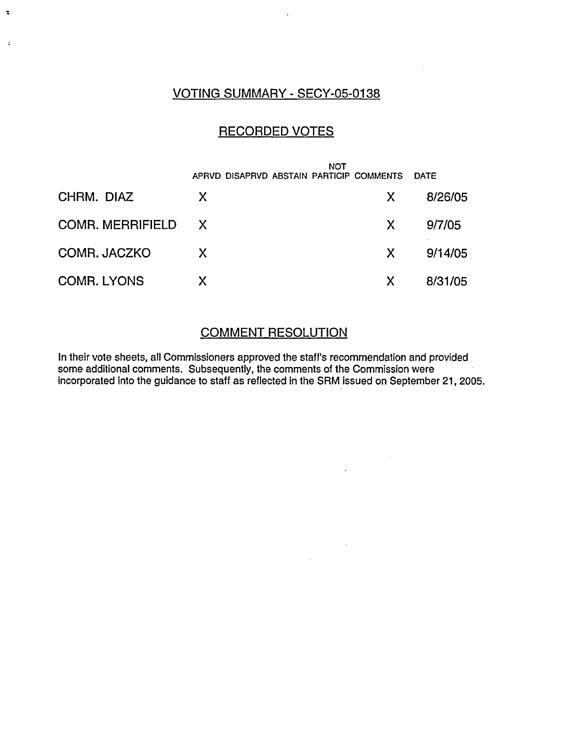## VOTING SUMMARY - SECY-05-0138

 $\ddot{\phantom{a}}$ 

 $\ddot{\cdot}$ 

## RECORDED VOTES

|                    | NOT<br>APRVD DISAPRVD ABSTAIN PARTICIP COMMENTS |    | <b>DATE</b> |
|--------------------|-------------------------------------------------|----|-------------|
| CHRM. DIAZ         | X                                               | X. | 8/26/05     |
| COMR. MERRIFIELD X |                                                 | X  | 9/7/05      |
| COMR. JACZKO       | X                                               | X  | 9/14/05     |
| <b>COMR. LYONS</b> | X                                               | X  | 8/31/05     |

## COMMENT RESOLUTION

In their vote sheets, all Commissioners approved the staff's recommendation and provided some additional comments. Subsequently, the comments of the Commission were incorporated into the guidance to staff as reflected in the SRM issued on September 21, 2005.

 $\mathcal{A}^{\mathcal{A}}$ 

 $\sim 10^{11}$  km  $^{-1}$ 

 $\sim 10^{-11}$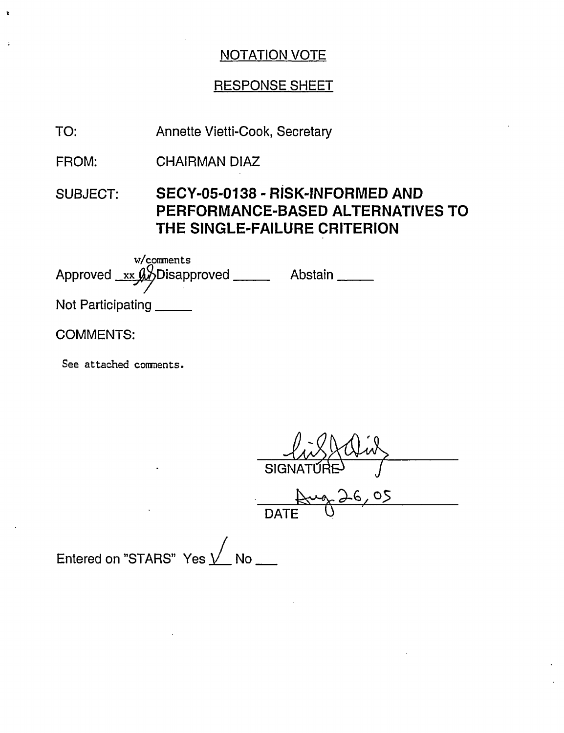## RESPONSE SHEET

- Annette Vietti-Cook, Secretary TO:
- CHAIRMAN DIAZ FROM:
- SUBJECT: **SECY-05-0138 RISK-INFORMED AND PERFORMANCE-BASED ALTERNATIVES TO THE SINGLE-FAILURE CRITERION**

| $w$ /comments<br>Approved $_{xx}$ $_{xx}$ Disapproved | Abstain |
|-------------------------------------------------------|---------|
| Not Participating                                     |         |
|                                                       |         |

### COMMENTS:

 $\ddot{\cdot}$ 

See attached connents.

SIGNAT

26,05  $\overline{$  DAT

Entered on "STARS" Yes  $\sqrt{\phantom{a}}$  No  $\phantom{a}\phantom{a}\phantom{a}$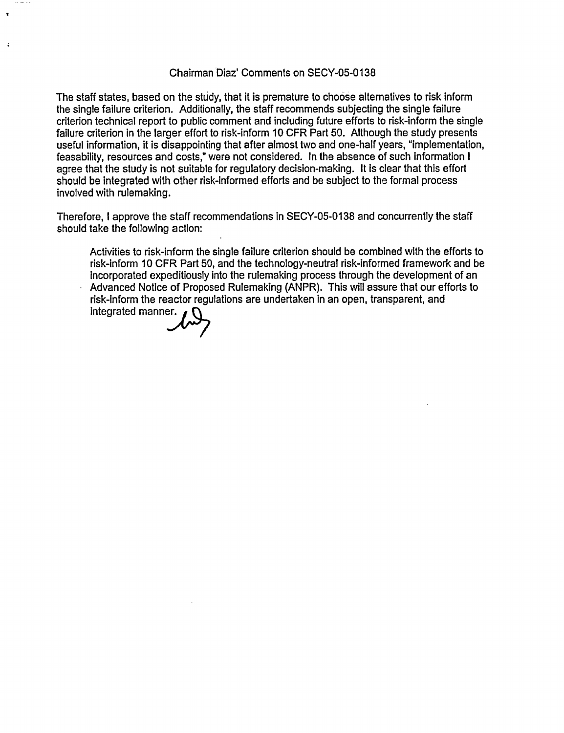#### Chairman'Diaz' Comments on SECY-05-0138

The staff states, based on the study, that it is premature to choose alternatives to risk inform the single failure criterion. Additionally, the staff recommends subjecting the single failure criterion technical report to public comment and including future efforts to risk-inform the single failure criterion in the larger effort to risk-inform 10 CFR Part 50. Although the study presents useful information, it is disappointing that after almost two and one-half years, "implementation, feasability, resources and costs," were not considered. In the absence of such information I agree that the study is not suitable for regulatory decision-making. It is clear that this effort should be integrated with other risk-informed efforts and be subject to the formal process involved with rulemaking.

Therefore, I approve the staff recommendations in SECY-05-0138 and concurrently the staff should take the following action:

Activities to risk-inform the single failure criterion should be combined with the efforts to risk-inform 10 CFR Part 50, and the technology-neutral risk-informed framework and be incorporated expeditiously into the rulemaking process through the development of an Advanced Notice of Proposed Rulemaking (ANPR). This will assure that our efforts to risk-inform the reactor regulations are undertaken in an open, transparent, and integrated manner.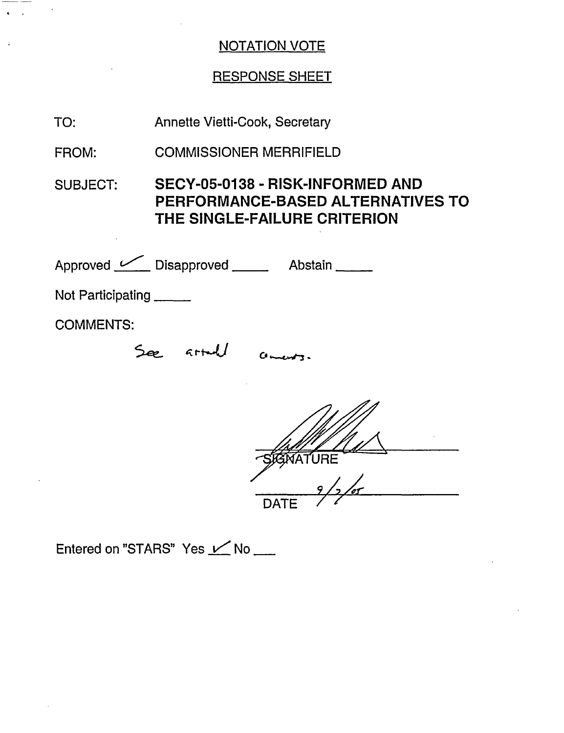# RESPONSE SHEET

| TO:               | <b>Annette Vietti-Cook, Secretary</b>                                                                        |  |  |  |
|-------------------|--------------------------------------------------------------------------------------------------------------|--|--|--|
| FROM:             | <b>COMMISSIONER MERRIFIELD</b>                                                                               |  |  |  |
| <b>SUBJECT:</b>   | SECY-05-0138 - RISK-INFORMED AND<br><b>PERFORMANCE-BASED ALTERNATIVES TO</b><br>THE SINGLE-FAILURE CRITERION |  |  |  |
|                   | Approved C Disapproved ______ Abstain _____                                                                  |  |  |  |
| Not Participating |                                                                                                              |  |  |  |
| <b>COMMENTS:</b>  |                                                                                                              |  |  |  |
|                   | artul                                                                                                        |  |  |  |
|                   |                                                                                                              |  |  |  |

Entered on "STARS" Yes  $\angle$  No  $\Box$ 

 $\mathcal{L}_{\mathcal{A}}$  $\bullet$ 

 $\ddot{\phantom{a}}$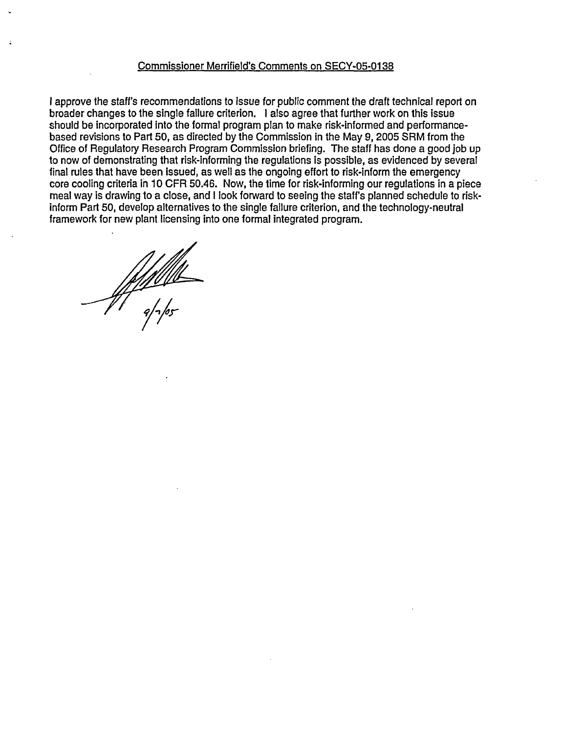#### Commissioner Merrifield's Comments on SECY-05-0138

I approve the staff's recommendations to issue for public comment the draft technical report on broader changes to the single failure criterion. I also agree that further work on this issue should be incorporated Into the formal program plan to make risk-informed and performancebased revisions to Part 50, as directed by the Commission in the May 9, 2005 SRM from the Office of Regulatory Research Program Commission briefing. The staff has done a good job up to now of demonstrating that risk-informing the regulations is possible, as evidenced by several final rules that have been issued, as well as the ongoing effort to risk-inform the emergency core cooling criteria in 10 CFR 50.46. Now, the time for risk-informing our regulations in a piece meal way is drawing to a close, and I look forward to seeing the staff's planned schedule to riskinform Part 50, develop alternatives to the single failure criterion, and the technology-neutral framework for new plant licensing into one formal integrated program.

-<u>4/1/1/11</u><br>-<br>a/~/os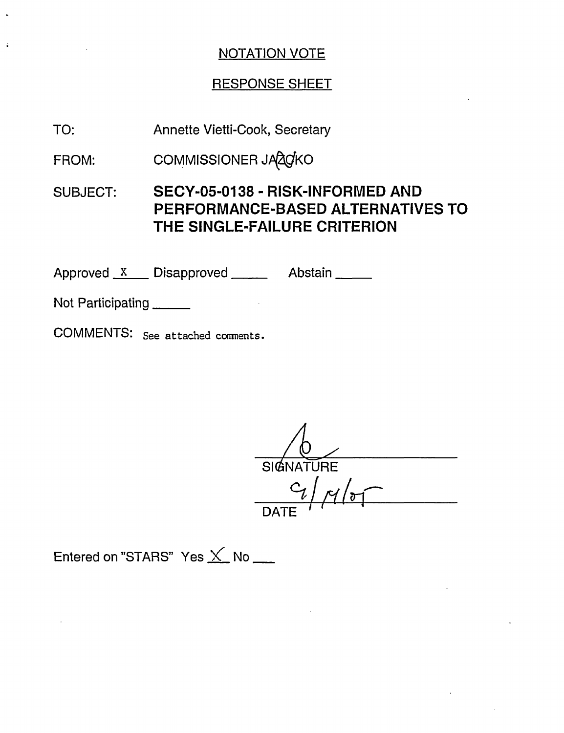## RESPONSE SHEET

TO: Annette Vietti-Cook, Secretary

FROM: COMMISSIONER JA 20KO

SUBJECT: **SECY-05-0138** - **RISK-INFORMED AND PERFORMANCE-BASED ALTERNATIVES TO THE SINGLE-FAILURE CRITERION**

Approved X Disapproved Abstain

Not Participating

 $\ddot{\phantom{a}}$ 

COMMENTS: See attached comments.

SIGNATURE  $\frac{9}{4}$ DATE -

Entered on "STARS" Yes  $\times$  No  $\_\_$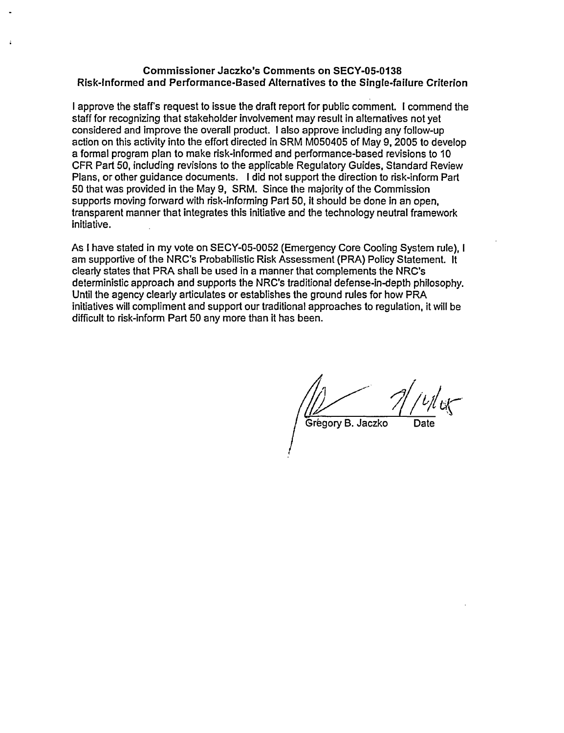#### **Commissioner Jaczko's Comments on SECY-05-0138 Risk-informed and Performance-Based Alternatives to the Single-failure Criterion**

I approve the staff's request to issue the draft report for public comment. I commend the staff for recognizing that stakeholder involvement may result in alternatives not yet considered and improve the overall product. I also approve including any follow-up action on this activity into the effort directed in SRM M050405 of May 9, 2005 to develop a formal program plan to make risk-informed and performance-based revisions to 10 CFR Part 50, including revisions to the applicable Regulatory Guides, Standard Review Plans, or other guidance documents. I did not support the direction to risk-inform Part 50 that was provided in the May 9, SRM. Since the majority of the Commission supports moving forward with risk-informing Part 50, it should be done in an open, transparent manner that integrates this initiative and the technology neutral framework initiative.

As I have stated in my vote on SECY-05-0052 (Emergency Core Cooling System rule), I am supportive of the NRC's Probabilistic Risk Assessment (PRA) Policy Statement. It clearly states that PRA shall be used in a manner that complements the NRC's deterministic approach and supports the NRC's traditional defense-in-depth philosophy. Until the agency clearly articulates or establishes the ground rules for how PRA initiatives will compliment and support our traditional approaches to regulation, it will be difficult to risk-inform Part 50 any more than it has been.

Grégory B. Jaczko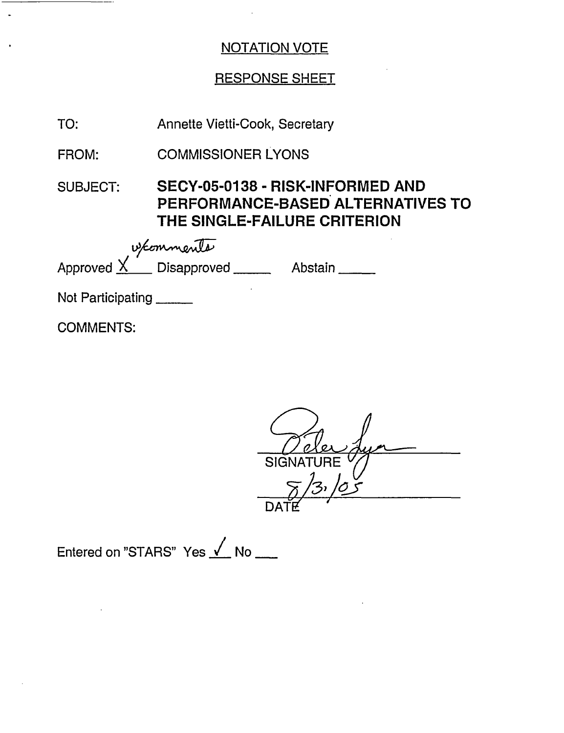# RESPONSE SHEET

| TO:                                                     | Annette Vietti-Cook, Secretary                                                                        |  |  |  |
|---------------------------------------------------------|-------------------------------------------------------------------------------------------------------|--|--|--|
| FROM:                                                   | <b>COMMISSIONER LYONS</b>                                                                             |  |  |  |
| <b>SUBJECT:</b>                                         | SECY-05-0138 - RISK-INFORMED AND<br>PERFORMANCE-BASED ALTERNATIVES TO<br>THE SINGLE-FAILURE CRITERION |  |  |  |
| wed wed<br>Approved X Disapproved _______ Abstain _____ |                                                                                                       |  |  |  |
|                                                         |                                                                                                       |  |  |  |
| Not Participating                                       |                                                                                                       |  |  |  |
| <b>COMMENTS:</b>                                        |                                                                                                       |  |  |  |

 $\overline{a}$ **SIGNATURE**  $\overline{\mathcal{C}}$ ゚゚゚゚゚゚゚゚゚゚゚゚゚゚゚゚゚゚゚゚゚゚ DATE

 $\sim$ 

Entered on "STARS" Yes √ No \_\_\_

 $\ddot{\phantom{0}}$